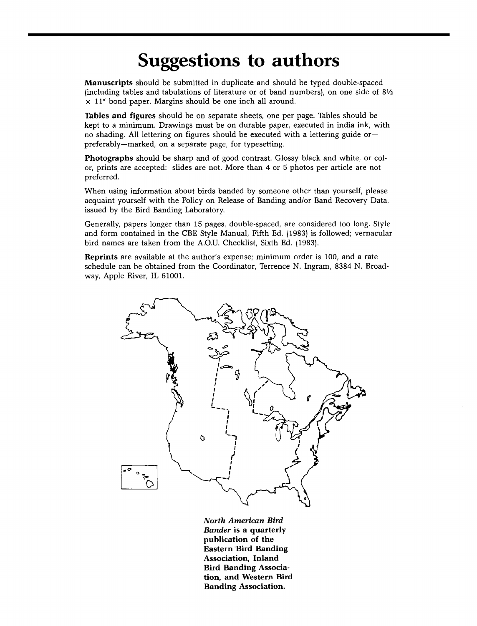## **Suggestions to authors**

**Manuscripts should be submitted in duplicate and should be typed double-spaced (including tables and tabulations of literature or of band numbers), on one side of 81/•. x 11" bond paper. Margins should be one inch all around.** 

**Tables and figures should be on separate sheets, one per page. Tables should be kept to a minimum. Drawings must be on durable paper, executed in india ink, with no shading. All lettering on figures should be executed with a lettering guide or- preferably--marked, on a separate page, for typesetting.** 

**Photographs should be sharp and of good contrast. Glossy black and white, or col**or, prints are accepted: slides are not. More than 4 or 5 photos per article are not **preferred.** 

**When using information about birds banded by someone other than yourself, please acquaint yourself with the Policy on Release of Banding and/or Band Recovery Data, issued by the Bird Banding Laboratory.** 

**Generally, papers longer than 15 pages, double-spaced, are considered too long. Style and form contained in the CBE Style Manual, Fifth Ed. (1983) is followed; vernacular bird names are taken from the A.O.U. Checklist, Sixth Ed. (1983).** 

**Reprints are available at the author's expense; minimum order is 100, and a rate**  schedule can be obtained from the Coordinator, Terrence N. Ingram, 8384 N. Broad**way, Apple River, IL 61001.** 



**North American Bird Bander is a quarterly publication of the Eastern Bird Banding Association, Inland Bird Banding Association, and Western Bird Banding Association.**